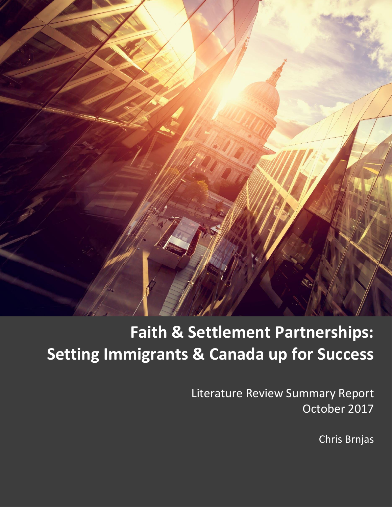

# **Faith & Settlement Partnerships: Setting Immigrants & Canada up for Success**

Literature Review Summary Report October 2017

Chris Brnjas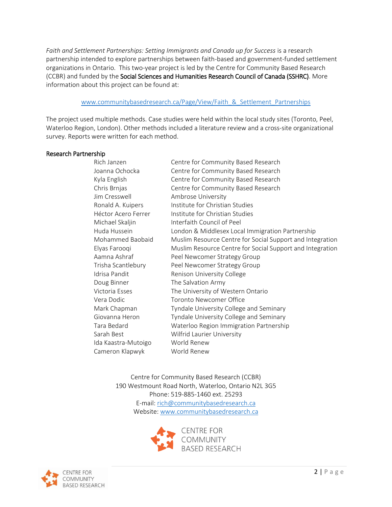Faith and Settlement Partnerships: Setting Immigrants and Canada up for Success is a research partnership intended to explore partnerships between faith-based and government-funded settlement organizations in Ontario. This two-year project is led by the Centre for Community Based Research (CCBR) and funded by the Social Sciences and Humanities Research Council of Canada (SSHRC). More information about this project can be found at:

#### www.communitybasedresearch.ca/Page/View/Faith & Settlement Partnerships

The project used multiple methods. Case studies were held within the local study sites (Toronto, Peel, Waterloo Region, London). Other methods included a literature review and a cross-site organizational survey. Reports were written for each method.

#### Research Partnership

| Rich Janzen         | Centre for Community Based Research                       |
|---------------------|-----------------------------------------------------------|
| Joanna Ochocka      | Centre for Community Based Research                       |
| Kyla English        | Centre for Community Based Research                       |
| Chris Brnjas        | Centre for Community Based Research                       |
| Jim Cresswell       | Ambrose University                                        |
| Ronald A. Kuipers   | Institute for Christian Studies                           |
| Héctor Acero Ferrer | Institute for Christian Studies                           |
| Michael Skaljin     | Interfaith Council of Peel                                |
| Huda Hussein        | London & Middlesex Local Immigration Partnership          |
| Mohammed Baobaid    | Muslim Resource Centre for Social Support and Integration |
| Elyas Farooqi       | Muslim Resource Centre for Social Support and Integration |
| Aamna Ashraf        | Peel Newcomer Strategy Group                              |
| Trisha Scantlebury  | Peel Newcomer Strategy Group                              |
| Idrisa Pandit       | Renison University College                                |
| Doug Binner         | The Salvation Army                                        |
| Victoria Esses      | The University of Western Ontario                         |
| Vera Dodic          | <b>Toronto Newcomer Office</b>                            |
| Mark Chapman        | Tyndale University College and Seminary                   |
| Giovanna Heron      | Tyndale University College and Seminary                   |
| Tara Bedard         | Waterloo Region Immigration Partnership                   |
| Sarah Best          | Wilfrid Laurier University                                |
| Ida Kaastra-Mutoigo | World Renew                                               |
| Cameron Klapwyk     | World Renew                                               |
|                     |                                                           |

Centre for Community Based Research (CCBR) 190 Westmount Road North, Waterloo, Ontario N2L 3G5 Phone: 519-885-1460 ext. 25293 E-mail[: rich@communitybasedresearch.ca](mailto:rich@communitybasedresearch.ca) Website: [www.communitybasedresearch.ca](http://www.communitybasedresearch.ca/)



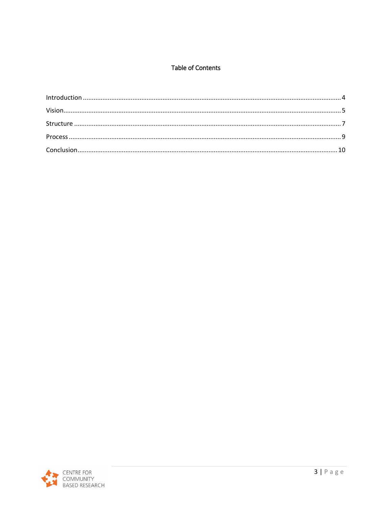#### **Table of Contents**

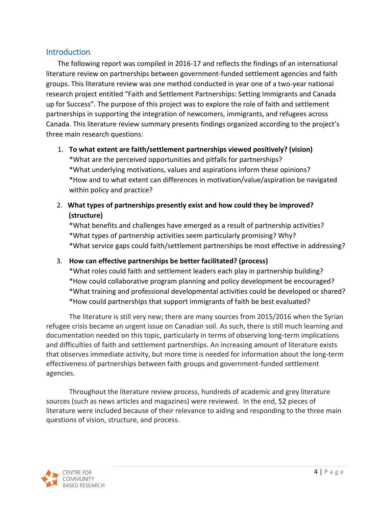# <span id="page-3-0"></span>**Introduction**

The following report was compiled in 2016-17 and reflects the findings of an international literature review on partnerships between government-funded settlement agencies and faith groups. This literature review was one method conducted in year one of a two-year national research project entitled "Faith and Settlement Partnerships: Setting Immigrants and Canada up for Success". The purpose of this project was to explore the role of faith and settlement partnerships in supporting the integration of newcomers, immigrants, and refugees across Canada. This literature review summary presents findings organized according to the project's three main research questions:

- 1. **To what extent are faith/settlement partnerships viewed positively? (vision)** \*What are the perceived opportunities and pitfalls for partnerships? \*What underlying motivations, values and aspirations inform these opinions? \*How and to what extent can differences in motivation/value/aspiration be navigated within policy and practice?
- 2. **What types of partnerships presently exist and how could they be improved? (structure)**

\*What benefits and challenges have emerged as a result of partnership activities? \*What types of partnership activities seem particularly promising? Why? \*What service gaps could faith/settlement partnerships be most effective in addressing?

3. **How can effective partnerships be better facilitated? (process)**

\*What roles could faith and settlement leaders each play in partnership building? \*How could collaborative program planning and policy development be encouraged? \*What training and professional developmental activities could be developed or shared? \*How could partnerships that support immigrants of faith be best evaluated?

The literature is still very new; there are many sources from 2015/2016 when the Syrian refugee crisis became an urgent issue on Canadian soil. As such, there is still much learning and documentation needed on this topic, particularly in terms of observing long-term implications and difficulties of faith and settlement partnerships. An increasing amount of literature exists that observes immediate activity, but more time is needed for information about the long-term effectiveness of partnerships between faith groups and government-funded settlement agencies.

Throughout the literature review process, hundreds of academic and grey literature sources (such as news articles and magazines) were reviewed. In the end, 52 pieces of literature were included because of their relevance to aiding and responding to the three main questions of vision, structure, and process.

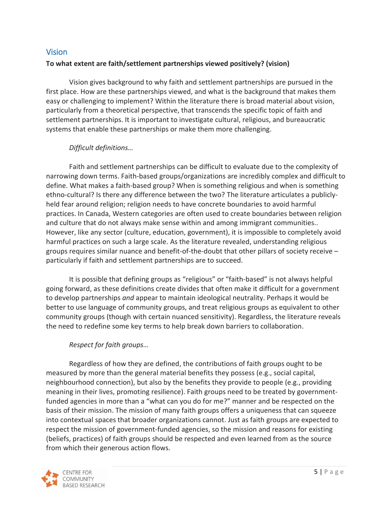# <span id="page-4-0"></span>**Vision**

# **To what extent are faith/settlement partnerships viewed positively? (vision)**

Vision gives background to why faith and settlement partnerships are pursued in the first place. How are these partnerships viewed, and what is the background that makes them easy or challenging to implement? Within the literature there is broad material about vision, particularly from a theoretical perspective, that transcends the specific topic of faith and settlement partnerships. It is important to investigate cultural, religious, and bureaucratic systems that enable these partnerships or make them more challenging.

# *Difficult definitions…*

Faith and settlement partnerships can be difficult to evaluate due to the complexity of narrowing down terms. Faith-based groups/organizations are incredibly complex and difficult to define. What makes a faith-based group? When is something religious and when is something ethno-cultural? Is there any difference between the two? The literature articulates a publiclyheld fear around religion; religion needs to have concrete boundaries to avoid harmful practices. In Canada, Western categories are often used to create boundaries between religion and culture that do not always make sense within and among immigrant communities.. However, like any sector (culture, education, government), it is impossible to completely avoid harmful practices on such a large scale. As the literature revealed, understanding religious groups requires similar nuance and benefit-of-the-doubt that other pillars of society receive – particularly if faith and settlement partnerships are to succeed.

It is possible that defining groups as "religious" or "faith-based" is not always helpful going forward, as these definitions create divides that often make it difficult for a government to develop partnerships *and* appear to maintain ideological neutrality. Perhaps it would be better to use language of community groups, and treat religious groups as equivalent to other community groups (though with certain nuanced sensitivity). Regardless, the literature reveals the need to redefine some key terms to help break down barriers to collaboration.

# *Respect for faith groups…*

Regardless of how they are defined, the contributions of faith groups ought to be measured by more than the general material benefits they possess (e.g., social capital, neighbourhood connection), but also by the benefits they provide to people (e.g., providing meaning in their lives, promoting resilience). Faith groups need to be treated by governmentfunded agencies in more than a "what can you do for me?" manner and be respected on the basis of their mission. The mission of many faith groups offers a uniqueness that can squeeze into contextual spaces that broader organizations cannot. Just as faith groups are expected to respect the mission of government-funded agencies, so the mission and reasons for existing (beliefs, practices) of faith groups should be respected and even learned from as the source from which their generous action flows.

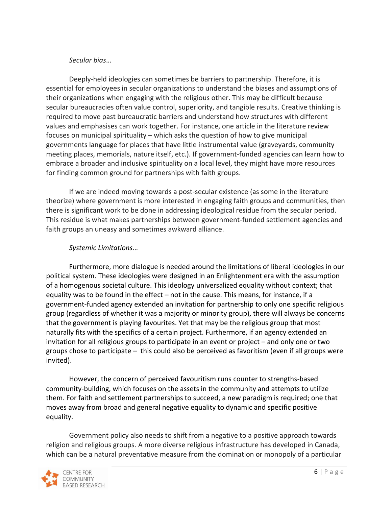#### *Secular bias*…

Deeply-held ideologies can sometimes be barriers to partnership. Therefore, it is essential for employees in secular organizations to understand the biases and assumptions of their organizations when engaging with the religious other. This may be difficult because secular bureaucracies often value control, superiority, and tangible results. Creative thinking is required to move past bureaucratic barriers and understand how structures with different values and emphasises can work together. For instance, one article in the literature review focuses on municipal spirituality – which asks the question of how to give municipal governments language for places that have little instrumental value (graveyards, community meeting places, memorials, nature itself, etc.). If government-funded agencies can learn how to embrace a broader and inclusive spirituality on a local level, they might have more resources for finding common ground for partnerships with faith groups.

If we are indeed moving towards a post-secular existence (as some in the literature theorize) where government is more interested in engaging faith groups and communities, then there is significant work to be done in addressing ideological residue from the secular period. This residue is what makes partnerships between government-funded settlement agencies and faith groups an uneasy and sometimes awkward alliance.

#### *Systemic Limitations*…

Furthermore, more dialogue is needed around the limitations of liberal ideologies in our political system. These ideologies were designed in an Enlightenment era with the assumption of a homogenous societal culture. This ideology universalized equality without context; that equality was to be found in the effect – not in the cause. This means, for instance, if a government-funded agency extended an invitation for partnership to only one specific religious group (regardless of whether it was a majority or minority group), there will always be concerns that the government is playing favourites. Yet that may be the religious group that most naturally fits with the specifics of a certain project. Furthermore, if an agency extended an invitation for all religious groups to participate in an event or project – and only one or two groups chose to participate – this could also be perceived as favoritism (even if all groups were invited).

However, the concern of perceived favouritism runs counter to strengths-based community-building, which focuses on the assets in the community and attempts to utilize them. For faith and settlement partnerships to succeed, a new paradigm is required; one that moves away from broad and general negative equality to dynamic and specific positive equality.

Government policy also needs to shift from a negative to a positive approach towards religion and religious groups. A more diverse religious infrastructure has developed in Canada, which can be a natural preventative measure from the domination or monopoly of a particular

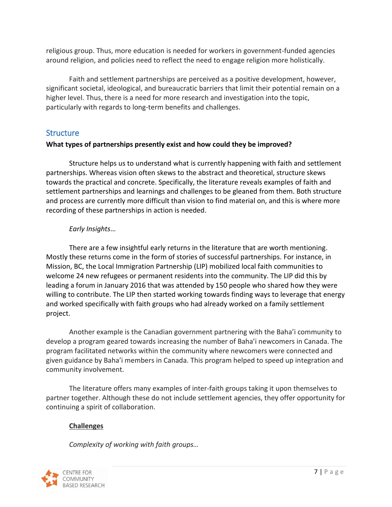religious group. Thus, more education is needed for workers in government-funded agencies around religion, and policies need to reflect the need to engage religion more holistically.

Faith and settlement partnerships are perceived as a positive development, however, significant societal, ideological, and bureaucratic barriers that limit their potential remain on a higher level. Thus, there is a need for more research and investigation into the topic, particularly with regards to long-term benefits and challenges.

# <span id="page-6-0"></span>**Structure**

## **What types of partnerships presently exist and how could they be improved?**

Structure helps us to understand what is currently happening with faith and settlement partnerships. Whereas vision often skews to the abstract and theoretical, structure skews towards the practical and concrete. Specifically, the literature reveals examples of faith and settlement partnerships and learnings and challenges to be gleaned from them. Both structure and process are currently more difficult than vision to find material on, and this is where more recording of these partnerships in action is needed.

## *Early Insights*…

There are a few insightful early returns in the literature that are worth mentioning. Mostly these returns come in the form of stories of successful partnerships. For instance, in Mission, BC, the Local Immigration Partnership (LIP) mobilized local faith communities to welcome 24 new refugees or permanent residents into the community. The LIP did this by leading a forum in January 2016 that was attended by 150 people who shared how they were willing to contribute. The LIP then started working towards finding ways to leverage that energy and worked specifically with faith groups who had already worked on a family settlement project.

Another example is the Canadian government partnering with the Baha'i community to develop a program geared towards increasing the number of Baha'i newcomers in Canada. The program facilitated networks within the community where newcomers were connected and given guidance by Baha'i members in Canada. This program helped to speed up integration and community involvement.

The literature offers many examples of inter-faith groups taking it upon themselves to partner together. Although these do not include settlement agencies, they offer opportunity for continuing a spirit of collaboration.

# **Challenges**

*Complexity of working with faith groups…*

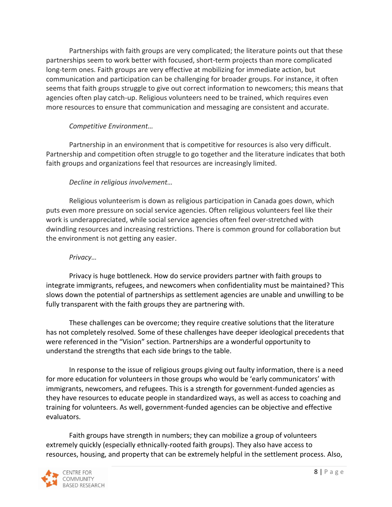Partnerships with faith groups are very complicated; the literature points out that these partnerships seem to work better with focused, short-term projects than more complicated long-term ones. Faith groups are very effective at mobilizing for immediate action, but communication and participation can be challenging for broader groups. For instance, it often seems that faith groups struggle to give out correct information to newcomers; this means that agencies often play catch-up. Religious volunteers need to be trained, which requires even more resources to ensure that communication and messaging are consistent and accurate.

# *Competitive Environment…*

Partnership in an environment that is competitive for resources is also very difficult. Partnership and competition often struggle to go together and the literature indicates that both faith groups and organizations feel that resources are increasingly limited.

## *Decline in religious involvement…*

Religious volunteerism is down as religious participation in Canada goes down, which puts even more pressure on social service agencies. Often religious volunteers feel like their work is underappreciated, while social service agencies often feel over-stretched with dwindling resources and increasing restrictions. There is common ground for collaboration but the environment is not getting any easier.

#### *Privacy…*

Privacy is huge bottleneck. How do service providers partner with faith groups to integrate immigrants, refugees, and newcomers when confidentiality must be maintained? This slows down the potential of partnerships as settlement agencies are unable and unwilling to be fully transparent with the faith groups they are partnering with.

These challenges can be overcome; they require creative solutions that the literature has not completely resolved. Some of these challenges have deeper ideological precedents that were referenced in the "Vision" section. Partnerships are a wonderful opportunity to understand the strengths that each side brings to the table.

In response to the issue of religious groups giving out faulty information, there is a need for more education for volunteers in those groups who would be 'early communicators' with immigrants, newcomers, and refugees. This is a strength for government-funded agencies as they have resources to educate people in standardized ways, as well as access to coaching and training for volunteers. As well, government-funded agencies can be objective and effective evaluators.

Faith groups have strength in numbers; they can mobilize a group of volunteers extremely quickly (especially ethnically-rooted faith groups). They also have access to resources, housing, and property that can be extremely helpful in the settlement process. Also,

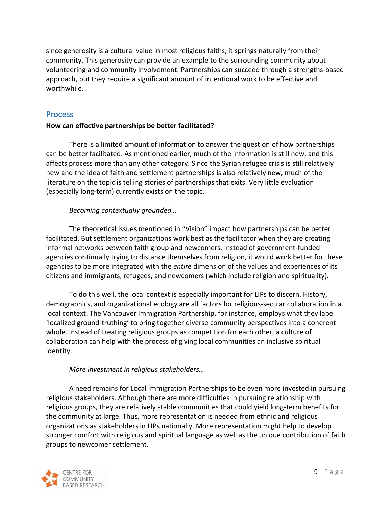since generosity is a cultural value in most religious faiths, it springs naturally from their community. This generosity can provide an example to the surrounding community about volunteering and community involvement. Partnerships can succeed through a strengths-based approach, but they require a significant amount of intentional work to be effective and worthwhile.

#### <span id="page-8-0"></span>**Process**

#### **How can effective partnerships be better facilitated?**

There is a limited amount of information to answer the question of how partnerships can be better facilitated. As mentioned earlier, much of the information is still new, and this affects process more than any other category. Since the Syrian refugee crisis is still relatively new and the idea of faith and settlement partnerships is also relatively new, much of the literature on the topic is telling stories of partnerships that exits. Very little evaluation (especially long-term) currently exists on the topic.

## *Becoming contextually grounded…*

The theoretical issues mentioned in "Vision" impact how partnerships can be better facilitated. But settlement organizations work best as the facilitator when they are creating informal networks between faith group and newcomers. Instead of government-funded agencies continually trying to distance themselves from religion, it would work better for these agencies to be more integrated with the *entire* dimension of the values and experiences of its citizens and immigrants, refugees, and newcomers (which include religion and spirituality).

To do this well, the local context is especially important for LIPs to discern. History, demographics, and organizational ecology are all factors for religious-secular collaboration in a local context. The Vancouver Immigration Partnership, for instance, employs what they label 'localized ground-truthing' to bring together diverse community perspectives into a coherent whole. Instead of treating religious groups as competition for each other, a culture of collaboration can help with the process of giving local communities an inclusive spiritual identity.

#### *More investment in religious stakeholders…*

A need remains for Local Immigration Partnerships to be even more invested in pursuing religious stakeholders. Although there are more difficulties in pursuing relationship with religious groups, they are relatively stable communities that could yield long-term benefits for the community at large. Thus, more representation is needed from ethnic and religious organizations as stakeholders in LIPs nationally. More representation might help to develop stronger comfort with religious and spiritual language as well as the unique contribution of faith groups to newcomer settlement.